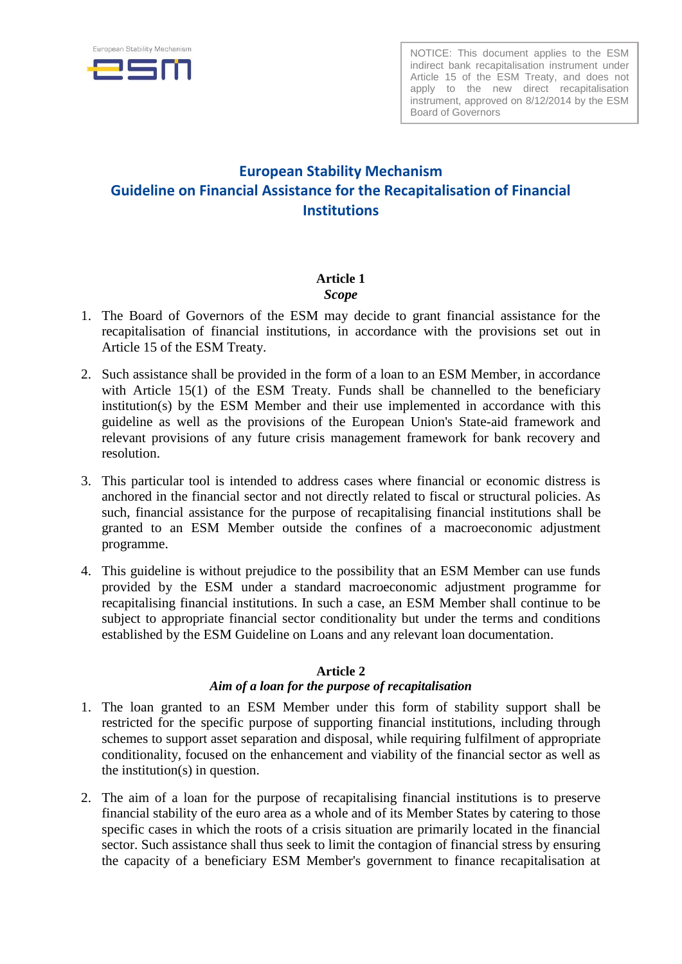

NOTICE: This document applies to the ESM indirect bank recapitalisation instrument under Article 15 of the ESM Treaty, and does not apply to the new direct recapitalisation instrument, approved on 8/12/2014 by the ESM Board of Governors

# **European Stability Mechanism Guideline on Financial Assistance for the Recapitalisation of Financial Institutions**

#### **Article 1**  *Scope*

- 1. The Board of Governors of the ESM may decide to grant financial assistance for the recapitalisation of financial institutions, in accordance with the provisions set out in Article 15 of the ESM Treaty.
- 2. Such assistance shall be provided in the form of a loan to an ESM Member, in accordance with Article 15(1) of the ESM Treaty. Funds shall be channelled to the beneficiary institution(s) by the ESM Member and their use implemented in accordance with this guideline as well as the provisions of the European Union's State-aid framework and relevant provisions of any future crisis management framework for bank recovery and resolution.
- 3. This particular tool is intended to address cases where financial or economic distress is anchored in the financial sector and not directly related to fiscal or structural policies. As such, financial assistance for the purpose of recapitalising financial institutions shall be granted to an ESM Member outside the confines of a macroeconomic adjustment programme.
- 4. This guideline is without prejudice to the possibility that an ESM Member can use funds provided by the ESM under a standard macroeconomic adjustment programme for recapitalising financial institutions. In such a case, an ESM Member shall continue to be subject to appropriate financial sector conditionality but under the terms and conditions established by the ESM Guideline on Loans and any relevant loan documentation.

# **Article 2**

# *Aim of a loan for the purpose of recapitalisation*

- 1. The loan granted to an ESM Member under this form of stability support shall be restricted for the specific purpose of supporting financial institutions, including through schemes to support asset separation and disposal, while requiring fulfilment of appropriate conditionality, focused on the enhancement and viability of the financial sector as well as the institution(s) in question.
- 2. The aim of a loan for the purpose of recapitalising financial institutions is to preserve financial stability of the euro area as a whole and of its Member States by catering to those specific cases in which the roots of a crisis situation are primarily located in the financial sector. Such assistance shall thus seek to limit the contagion of financial stress by ensuring the capacity of a beneficiary ESM Member's government to finance recapitalisation at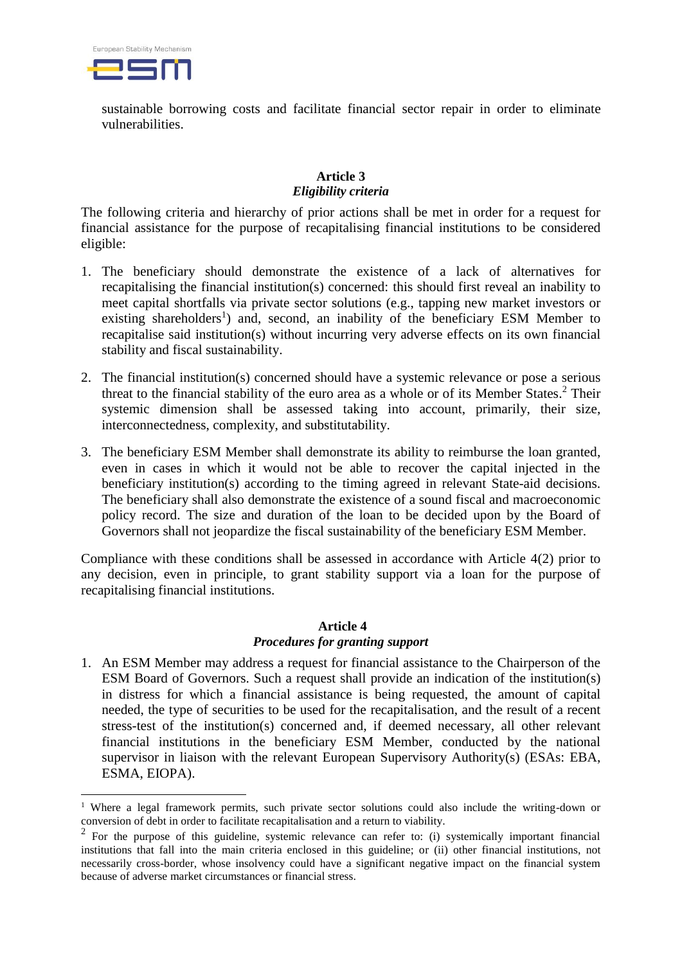

<u>.</u>

sustainable borrowing costs and facilitate financial sector repair in order to eliminate vulnerabilities.

# **Article 3** *Eligibility criteria*

The following criteria and hierarchy of prior actions shall be met in order for a request for financial assistance for the purpose of recapitalising financial institutions to be considered eligible:

- 1. The beneficiary should demonstrate the existence of a lack of alternatives for recapitalising the financial institution(s) concerned: this should first reveal an inability to meet capital shortfalls via private sector solutions (e.g., tapping new market investors or existing shareholders<sup>1</sup>) and, second, an inability of the beneficiary ESM Member to recapitalise said institution(s) without incurring very adverse effects on its own financial stability and fiscal sustainability.
- 2. The financial institution(s) concerned should have a systemic relevance or pose a serious threat to the financial stability of the euro area as a whole or of its Member States. <sup>2</sup> Their systemic dimension shall be assessed taking into account, primarily, their size, interconnectedness, complexity, and substitutability.
- 3. The beneficiary ESM Member shall demonstrate its ability to reimburse the loan granted, even in cases in which it would not be able to recover the capital injected in the beneficiary institution(s) according to the timing agreed in relevant State-aid decisions. The beneficiary shall also demonstrate the existence of a sound fiscal and macroeconomic policy record. The size and duration of the loan to be decided upon by the Board of Governors shall not jeopardize the fiscal sustainability of the beneficiary ESM Member.

Compliance with these conditions shall be assessed in accordance with Article 4(2) prior to any decision, even in principle, to grant stability support via a loan for the purpose of recapitalising financial institutions.

#### **Article 4** *Procedures for granting support*

1. An ESM Member may address a request for financial assistance to the Chairperson of the ESM Board of Governors. Such a request shall provide an indication of the institution(s) in distress for which a financial assistance is being requested, the amount of capital needed, the type of securities to be used for the recapitalisation, and the result of a recent stress-test of the institution(s) concerned and, if deemed necessary, all other relevant financial institutions in the beneficiary ESM Member, conducted by the national supervisor in liaison with the relevant European Supervisory Authority(s) (ESAs: EBA, ESMA, EIOPA).

<sup>&</sup>lt;sup>1</sup> Where a legal framework permits, such private sector solutions could also include the writing-down or conversion of debt in order to facilitate recapitalisation and a return to viability.

 $2$  For the purpose of this guideline, systemic relevance can refer to: (i) systemically important financial institutions that fall into the main criteria enclosed in this guideline; or (ii) other financial institutions, not necessarily cross-border, whose insolvency could have a significant negative impact on the financial system because of adverse market circumstances or financial stress.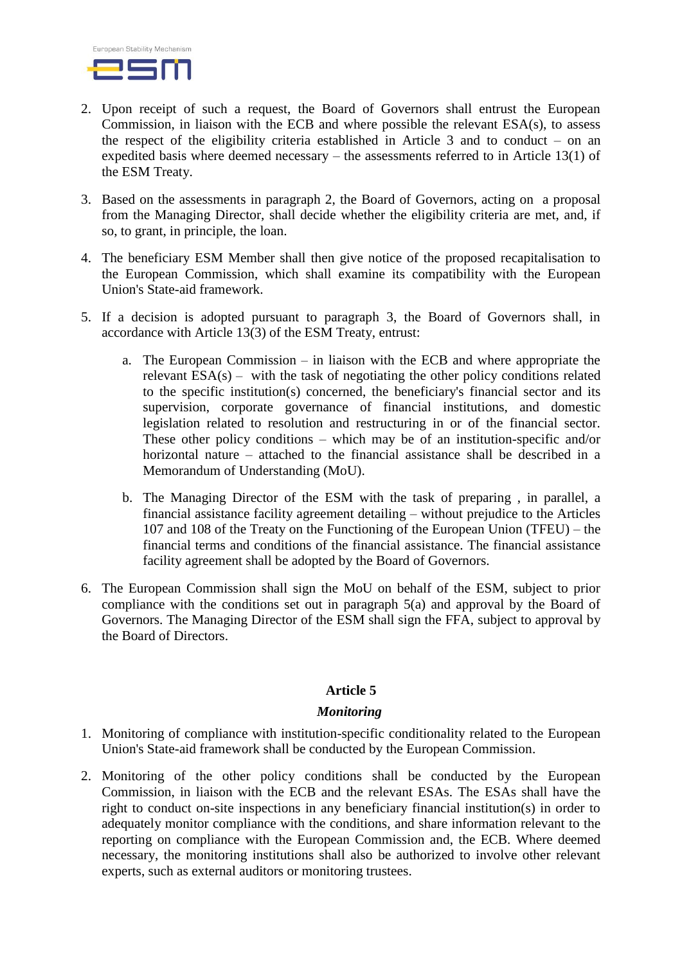

- 2. Upon receipt of such a request, the Board of Governors shall entrust the European Commission, in liaison with the ECB and where possible the relevant ESA(s), to assess the respect of the eligibility criteria established in Article 3 and to conduct – on an expedited basis where deemed necessary – the assessments referred to in Article 13(1) of the ESM Treaty.
- 3. Based on the assessments in paragraph 2, the Board of Governors, acting on a proposal from the Managing Director, shall decide whether the eligibility criteria are met, and, if so, to grant, in principle, the loan.
- 4. The beneficiary ESM Member shall then give notice of the proposed recapitalisation to the European Commission, which shall examine its compatibility with the European Union's State-aid framework.
- 5. If a decision is adopted pursuant to paragraph 3, the Board of Governors shall, in accordance with Article 13(3) of the ESM Treaty, entrust:
	- a. The European Commission in liaison with the ECB and where appropriate the relevant  $ESA(s)$  – with the task of negotiating the other policy conditions related to the specific institution(s) concerned, the beneficiary's financial sector and its supervision, corporate governance of financial institutions, and domestic legislation related to resolution and restructuring in or of the financial sector. These other policy conditions – which may be of an institution-specific and/or horizontal nature – attached to the financial assistance shall be described in a Memorandum of Understanding (MoU).
	- b. The Managing Director of the ESM with the task of preparing , in parallel, a financial assistance facility agreement detailing – without prejudice to the Articles 107 and 108 of the Treaty on the Functioning of the European Union (TFEU) – the financial terms and conditions of the financial assistance. The financial assistance facility agreement shall be adopted by the Board of Governors.
- 6. The European Commission shall sign the MoU on behalf of the ESM, subject to prior compliance with the conditions set out in paragraph 5(a) and approval by the Board of Governors. The Managing Director of the ESM shall sign the FFA, subject to approval by the Board of Directors.

# **Article 5**

#### *Monitoring*

- 1. Monitoring of compliance with institution-specific conditionality related to the European Union's State-aid framework shall be conducted by the European Commission.
- 2. Monitoring of the other policy conditions shall be conducted by the European Commission, in liaison with the ECB and the relevant ESAs. The ESAs shall have the right to conduct on-site inspections in any beneficiary financial institution(s) in order to adequately monitor compliance with the conditions, and share information relevant to the reporting on compliance with the European Commission and, the ECB. Where deemed necessary, the monitoring institutions shall also be authorized to involve other relevant experts, such as external auditors or monitoring trustees.